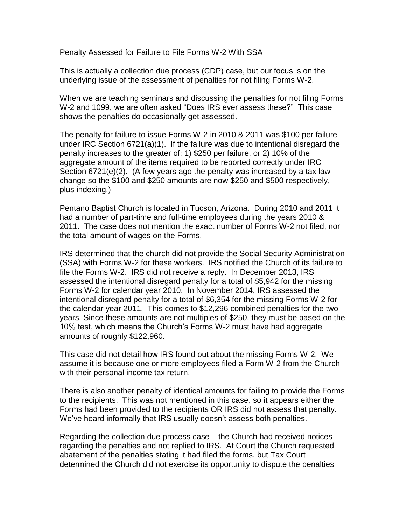Penalty Assessed for Failure to File Forms W-2 With SSA

This is actually a collection due process (CDP) case, but our focus is on the underlying issue of the assessment of penalties for not filing Forms W-2.

When we are teaching seminars and discussing the penalties for not filing Forms W-2 and 1099, we are often asked "Does IRS ever assess these?" This case shows the penalties do occasionally get assessed.

The penalty for failure to issue Forms W-2 in 2010 & 2011 was \$100 per failure under IRC Section 6721(a)(1). If the failure was due to intentional disregard the penalty increases to the greater of: 1) \$250 per failure, or 2) 10% of the aggregate amount of the items required to be reported correctly under IRC Section 6721(e)(2). (A few years ago the penalty was increased by a tax law change so the \$100 and \$250 amounts are now \$250 and \$500 respectively, plus indexing.)

Pentano Baptist Church is located in Tucson, Arizona. During 2010 and 2011 it had a number of part-time and full-time employees during the years 2010 & 2011. The case does not mention the exact number of Forms W-2 not filed, nor the total amount of wages on the Forms.

IRS determined that the church did not provide the Social Security Administration (SSA) with Forms W-2 for these workers. IRS notified the Church of its failure to file the Forms W-2. IRS did not receive a reply. In December 2013, IRS assessed the intentional disregard penalty for a total of \$5,942 for the missing Forms W-2 for calendar year 2010. In November 2014, IRS assessed the intentional disregard penalty for a total of \$6,354 for the missing Forms W-2 for the calendar year 2011. This comes to \$12,296 combined penalties for the two years. Since these amounts are not multiples of \$250, they must be based on the 10% test, which means the Church's Forms W-2 must have had aggregate amounts of roughly \$122,960.

This case did not detail how IRS found out about the missing Forms W-2. We assume it is because one or more employees filed a Form W-2 from the Church with their personal income tax return.

There is also another penalty of identical amounts for failing to provide the Forms to the recipients. This was not mentioned in this case, so it appears either the Forms had been provided to the recipients OR IRS did not assess that penalty. We've heard informally that IRS usually doesn't assess both penalties.

Regarding the collection due process case – the Church had received notices regarding the penalties and not replied to IRS. At Court the Church requested abatement of the penalties stating it had filed the forms, but Tax Court determined the Church did not exercise its opportunity to dispute the penalties